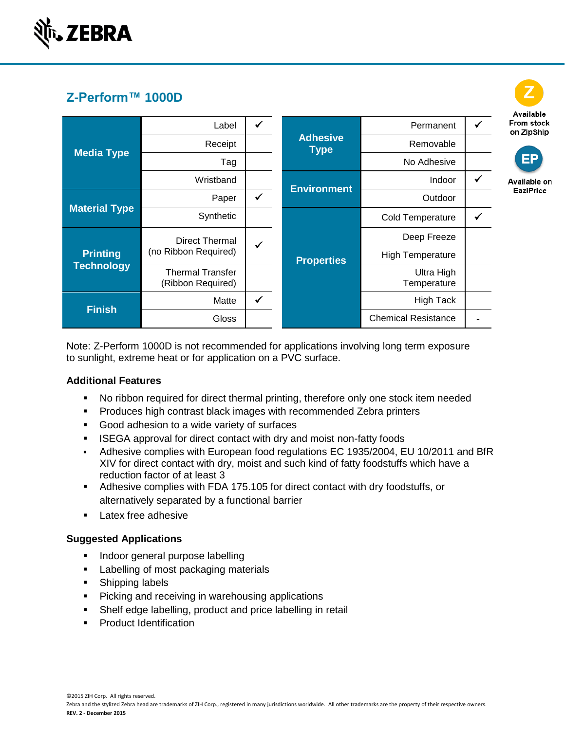

# **Z-Perform™ 1000D**

|                                      |                                        |              |                                |                            |              | Available                |
|--------------------------------------|----------------------------------------|--------------|--------------------------------|----------------------------|--------------|--------------------------|
| <b>Media Type</b>                    | Label                                  | ✓            | <b>Adhesive</b><br><b>Type</b> | Permanent                  |              | From stock<br>on ZipShip |
|                                      | Receipt                                |              |                                | Removable                  |              |                          |
|                                      | Tag                                    |              |                                | No Adhesive                |              | <b>EP</b>                |
|                                      | Wristband                              |              | <b>Environment</b>             | Indoor                     | $\checkmark$ | Available on             |
| <b>Material Type</b>                 | Paper                                  | $\checkmark$ |                                | Outdoor                    |              | EaziPrice                |
|                                      | Synthetic                              |              |                                | <b>Cold Temperature</b>    |              |                          |
| <b>Printing</b><br><b>Technology</b> | Direct Thermal<br>(no Ribbon Required) | ✓            |                                | Deep Freeze                |              |                          |
|                                      |                                        |              | <b>Properties</b>              | <b>High Temperature</b>    |              |                          |
|                                      | Thermal Transfer<br>(Ribbon Required)  |              |                                | Ultra High<br>Temperature  |              |                          |
| <b>Finish</b>                        | Matte                                  | $\checkmark$ |                                | <b>High Tack</b>           |              |                          |
|                                      | <b>Gloss</b>                           |              |                                | <b>Chemical Resistance</b> |              |                          |

Available

Note: Z-Perform 1000D is not recommended for applications involving long term exposure to sunlight, extreme heat or for application on a PVC surface.

#### **Additional Features**

- No ribbon required for direct thermal printing, therefore only one stock item needed
- **Produces high contrast black images with recommended Zebra printers**
- Good adhesion to a wide variety of surfaces
- **ISEGA approval for direct contact with dry and moist non-fatty foods**
- Adhesive complies with European food regulations EC 1935/2004, EU 10/2011 and BfR XIV for direct contact with dry, moist and such kind of fatty foodstuffs which have a reduction factor of at least 3
- Adhesive complies with FDA 175.105 for direct contact with dry foodstuffs, or alternatively separated by a functional barrier
- **Latex free adhesive**

#### **Suggested Applications**

- **Indoor general purpose labelling**
- **Labelling of most packaging materials**
- **Shipping labels**
- **Picking and receiving in warehousing applications**
- Shelf edge labelling, product and price labelling in retail
- **Product Identification**